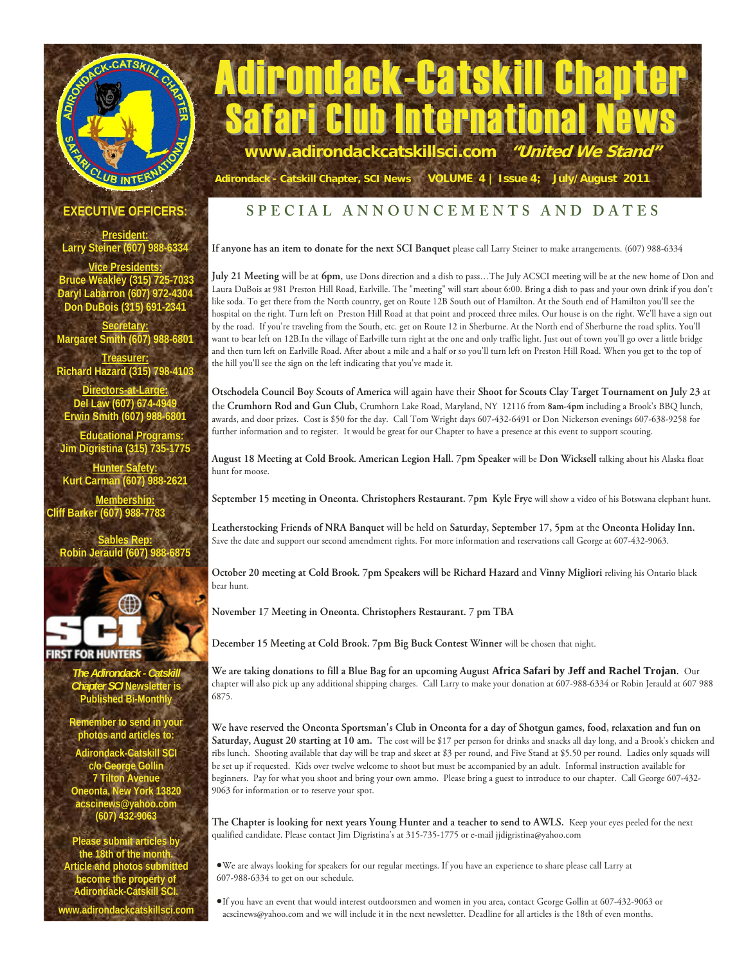# CLUB INTERN

# **Trondack-Catskill Chapter** Safari Club International News **www.adirondackcatskillsci.com "United We Stand"**

**EXECUTIVE OFFICERS:** 

**President: Larry Steiner (607) 988-6334** 

**Vice Presidents: Bruce Weakley (315) 725-7033 Daryl Labarron (607) 972-4304 Don DuBois (315) 691-2341** 

**Secretary: Margaret Smith (607) 988-6801 Treasurer:**

**Richard Hazard (315) 798-4103** 

**Directors-at-Large:** Del Law (607) 674-4 **Erwin Smith (607) 988** 

 **Educational Programs: Jim Digristina (315) 735-1775** 

**Hunter Safety: Kurt Carman (607) 988-2621** 

**Membership: Cliff Barker (607) 988-7783** 

**Sables Rep: uld (607) 9** 



**RST FOR HUNTERS** 

*The Adirondack - Catskill er SCI* **Newsletter is Published Bi-Month** 

**Remember to send in your photos and articles to:** 

**Adirondack-Catskill SCI c/o George Gollin 7 Tilton Avenue Oneonta, New York 13820 acscinews@yahoo.com (607) 432-9063** 

**Please submit articles by**  the 18th of the montl **Article and photos submitted become the property of Adirondack-Catskill SCI. www.adirondackcatskillsci.com** 

## **SPECIAL ANNOUNCEMENTS AND DATES**

 **Adirondack - Catskill Chapter, SCI News VOLUME 4 | Issue 4; July/August 2011**

If anyone has an item to donate for the next SCI Banquet please call Larry Steiner to make arrangements. (607) 988-6334

**July 21 Meeting** will be at **6pm**, use Dons direction and a dish to pass…The July ACSCI meeting will be at the new home of Don and Laura DuBois at 981 Preston Hill Road, Earlville. The "meeting" will start about 6:00. Bring a dish to pass and your own drink if you don't like soda. To get there from the North country, get on Route 12B South out of Hamilton. At the South end of Hamilton you'll see the hospital on the right. Turn left on Preston Hill Road at that point and proceed three miles. Our house is on the right. We'll have a sign out by the road. If you're traveling from the South, etc. get on Route 12 in Sherburne. At the North end of Sherburne the road splits. You'll want to bear left on 12B.In the village of Earlville turn right at the one and only traffic light. Just out of town you'll go over a little bridge and then turn left on Earlville Road. After about a mile and a half or so you'll turn left on Preston Hill Road. When you get to the top of the hill you'll see the sign on the left indicating that you've made it.

**Otschodela Council Boy Scouts of America** will again have their **Shoot for Scouts Clay Target Tournament on July 23** at the **Crumhorn Rod and Gun Club,** Crumhorn Lake Road, Maryland, NY 12116 from **8am-4pm** including a Brook's BBQ lunch, awards, and door prizes. Cost is \$50 for the day. Call Tom Wright days 607-432-6491 or Don Nickerson evenings 607-638-9258 for further information and to register. It would be great for our Chapter to have a presence at this event to support scouting.

**August 18 Meeting at Cold Brook. American Legion Hall. 7pm Speaker** will be **Don Wicksell** talking about his Alaska float hunt for moose.

**September 15 meeting in Oneonta. Christophers Restaurant. 7pm Kyle Frye** will show a video of his Botswana elephant hunt.

**Leatherstocking Friends of NRA Banquet** will be held on **Saturday, September 17, 5pm** at the **Oneonta Holiday Inn.**  Save the date and support our second amendment rights. For more information and reservations call George at 607-432-9063.

**October 20 meeting at Cold Brook. 7pm Speakers will be Richard Hazard** and **Vinny Migliori** reliving his Ontario black bear hunt.

**November 17 Meeting in Oneonta. Christophers Restaurant. 7 pm TBA** 

**December 15 Meeting at Cold Brook. 7pm Big Buck Contest Winner** will be chosen that night.

**We are taking donations to fill a Blue Bag for an upcoming August Africa Safari by Jeff and Rachel Trojan.** Our chapter will also pick up any additional shipping charges. Call Larry to make your donation at 607-988-6334 or Robin Jerauld at 607 988 6875.

**We have reserved the Oneonta Sportsman's Club in Oneonta for a day of Shotgun games, food, relaxation and fun on Saturday, August 20 starting at 10 am.** The cost will be \$17 per person for drinks and snacks all day long, and a Brook's chicken and ribs lunch. Shooting available that day will be trap and skeet at \$3 per round, and Five Stand at \$5.50 per round. Ladies only squads will be set up if requested. Kids over twelve welcome to shoot but must be accompanied by an adult. Informal instruction available for beginners. Pay for what you shoot and bring your own ammo. Please bring a guest to introduce to our chapter. Call George 607-432- 9063 for information or to reserve your spot.

**The Chapter is looking for next years Young Hunter and a teacher to send to AWLS.** Keep your eyes peeled for the next qualified candidate. Please contact Jim Digristina's at 315-735-1775 or e-mail jjdigristina@yahoo.com

We are always looking for speakers for our regular meetings. If you have an experience to share please call Larry at 607-988-6334 to get on our schedule.

If you have an event that would interest outdoorsmen and women in you area, contact George Gollin at 607-432-9063 or acscinews@yahoo.com and we will include it in the next newsletter. Deadline for all articles is the 18th of even months.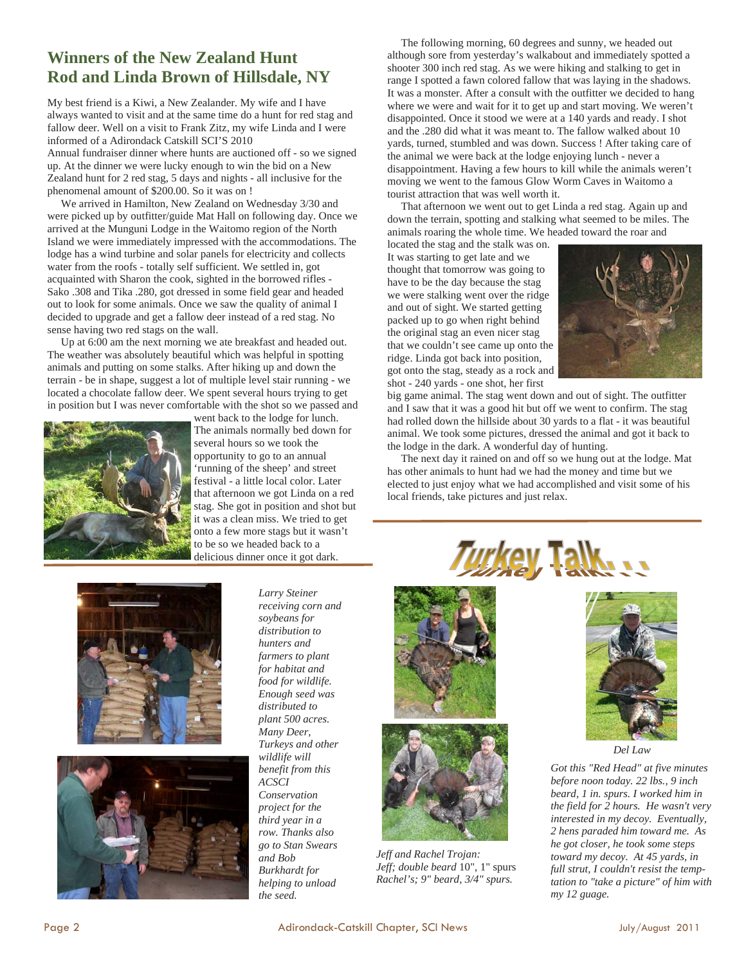### **Winners of the New Zealand Hunt Rod and Linda Brown of Hillsdale, NY**

My best friend is a Kiwi, a New Zealander. My wife and I have always wanted to visit and at the same time do a hunt for red stag and fallow deer. Well on a visit to Frank Zitz, my wife Linda and I were informed of a Adirondack Catskill SCI'S 2010

Annual fundraiser dinner where hunts are auctioned off - so we signed up. At the dinner we were lucky enough to win the bid on a New Zealand hunt for 2 red stag, 5 days and nights - all inclusive for the phenomenal amount of \$200.00. So it was on !

 We arrived in Hamilton, New Zealand on Wednesday 3/30 and were picked up by outfitter/guide Mat Hall on following day. Once we arrived at the Munguni Lodge in the Waitomo region of the North Island we were immediately impressed with the accommodations. The lodge has a wind turbine and solar panels for electricity and collects water from the roofs - totally self sufficient. We settled in, got acquainted with Sharon the cook, sighted in the borrowed rifles - Sako .308 and Tika .280, got dressed in some field gear and headed out to look for some animals. Once we saw the quality of animal I decided to upgrade and get a fallow deer instead of a red stag. No sense having two red stags on the wall.

 Up at 6:00 am the next morning we ate breakfast and headed out. The weather was absolutely beautiful which was helpful in spotting animals and putting on some stalks. After hiking up and down the terrain - be in shape, suggest a lot of multiple level stair running - we located a chocolate fallow deer. We spent several hours trying to get in position but I was never comfortable with the shot so we passed and



went back to the lodge for lunch. The animals normally bed down for several hours so we took the opportunity to go to an annual 'running of the sheep' and street festival - a little local color. Later that afternoon we got Linda on a red stag. She got in position and shot but it was a clean miss. We tried to get onto a few more stags but it wasn't to be so we headed back to a delicious dinner once it got dark.

 The following morning, 60 degrees and sunny, we headed out although sore from yesterday's walkabout and immediately spotted a shooter 300 inch red stag. As we were hiking and stalking to get in range I spotted a fawn colored fallow that was laying in the shadows. It was a monster. After a consult with the outfitter we decided to hang where we were and wait for it to get up and start moving. We weren't disappointed. Once it stood we were at a 140 yards and ready. I shot and the .280 did what it was meant to. The fallow walked about 10 yards, turned, stumbled and was down. Success ! After taking care of the animal we were back at the lodge enjoying lunch - never a disappointment. Having a few hours to kill while the animals weren't moving we went to the famous Glow Worm Caves in Waitomo a tourist attraction that was well worth it.

 That afternoon we went out to get Linda a red stag. Again up and down the terrain, spotting and stalking what seemed to be miles. The animals roaring the whole time. We headed toward the roar and

located the stag and the stalk was on. It was starting to get late and we thought that tomorrow was going to have to be the day because the stag we were stalking went over the ridge and out of sight. We started getting packed up to go when right behind the original stag an even nicer stag that we couldn't see came up onto the ridge. Linda got back into position, got onto the stag, steady as a rock and shot - 240 yards - one shot, her first



big game animal. The stag went down and out of sight. The outfitter and I saw that it was a good hit but off we went to confirm. The stag had rolled down the hillside about 30 yards to a flat - it was beautiful animal. We took some pictures, dressed the animal and got it back to the lodge in the dark. A wonderful day of hunting.

 The next day it rained on and off so we hung out at the lodge. Mat has other animals to hunt had we had the money and time but we elected to just enjoy what we had accomplished and visit some of his local friends, take pictures and just relax.





*Larry Steiner receiving corn and soybeans for distribution to hunters and farmers to plant for habitat and food for wildlife. Enough seed was distributed to plant 500 acres. Many Deer, Turkeys and other wildlife will benefit from this ACSCI Conservation project for the third year in a row. Thanks also go to Stan Swears and Bob Burkhardt for helping to unload the seed.* 



*Jeff and Rachel Trojan: Jeff; double beard* 10", 1" spurs *Rachel's; 9" beard, 3/4" spurs.* 





*Del Law* 

*Got this "Red Head" at five minutes before noon today. 22 lbs., 9 inch beard, 1 in. spurs. I worked him in the field for 2 hours. He wasn't very interested in my decoy. Eventually, 2 hens paraded him toward me. As he got closer, he took some steps toward my decoy. At 45 yards, in full strut, I couldn't resist the temptation to "take a picture" of him with my 12 guage.*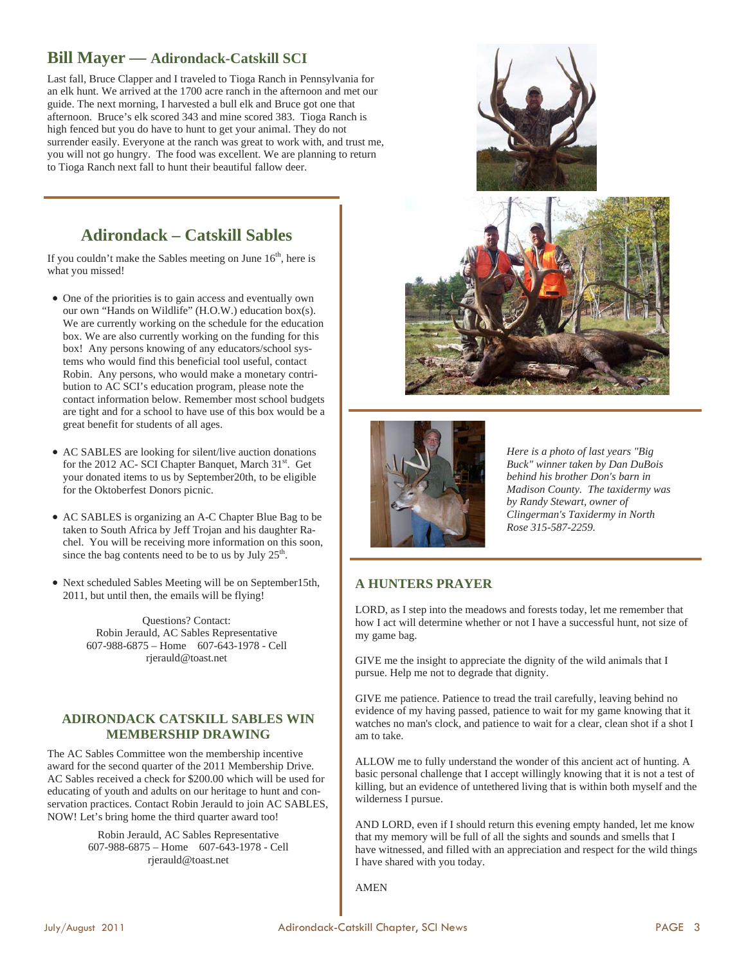#### **Bill Mayer — Adirondack-Catskill SCI**

Last fall, Bruce Clapper and I traveled to Tioga Ranch in Pennsylvania for an elk hunt. We arrived at the 1700 acre ranch in the afternoon and met our guide. The next morning, I harvested a bull elk and Bruce got one that afternoon. Bruce's elk scored 343 and mine scored 383. Tioga Ranch is high fenced but you do have to hunt to get your animal. They do not surrender easily. Everyone at the ranch was great to work with, and trust me, you will not go hungry. The food was excellent. We are planning to return to Tioga Ranch next fall to hunt their beautiful fallow deer.

# **Adirondack – Catskill Sables**

If you couldn't make the Sables meeting on June  $16<sup>th</sup>$ , here is what you missed!

- One of the priorities is to gain access and eventually own our own "Hands on Wildlife" (H.O.W.) education box(s). We are currently working on the schedule for the education box. We are also currently working on the funding for this box! Any persons knowing of any educators/school systems who would find this beneficial tool useful, contact Robin. Any persons, who would make a monetary contribution to AC SCI's education program, please note the contact information below. Remember most school budgets are tight and for a school to have use of this box would be a great benefit for students of all ages.
- AC SABLES are looking for silent/live auction donations for the 2012 AC- SCI Chapter Banquet, March 31<sup>st</sup>. Get your donated items to us by September20th, to be eligible for the Oktoberfest Donors picnic.
- AC SABLES is organizing an A-C Chapter Blue Bag to be taken to South Africa by Jeff Trojan and his daughter Rachel. You will be receiving more information on this soon, since the bag contents need to be to us by July  $25<sup>th</sup>$ .
- Next scheduled Sables Meeting will be on September15th, 2011, but until then, the emails will be flying!

Questions? Contact: Robin Jerauld, AC Sables Representative 607-988-6875 – Home 607-643-1978 - Cell rjerauld@toast.net

#### **ADIRONDACK CATSKILL SABLES WIN MEMBERSHIP DRAWING**

The AC Sables Committee won the membership incentive award for the second quarter of the 2011 Membership Drive. AC Sables received a check for \$200.00 which will be used for educating of youth and adults on our heritage to hunt and conservation practices. Contact Robin Jerauld to join AC SABLES, NOW! Let's bring home the third quarter award too!

> Robin Jerauld, AC Sables Representative 607-988-6875 – Home 607-643-1978 - Cell rjerauld@toast.net







*Here is a photo of last years "Big Buck" winner taken by Dan DuBois behind his brother Don's barn in Madison County. The taxidermy was by Randy Stewart, owner of Clingerman's Taxidermy in North Rose 315-587-2259.* 

#### **A HUNTERS PRAYER**

LORD, as I step into the meadows and forests today, let me remember that how I act will determine whether or not I have a successful hunt, not size of my game bag.

GIVE me the insight to appreciate the dignity of the wild animals that I pursue. Help me not to degrade that dignity.

GIVE me patience. Patience to tread the trail carefully, leaving behind no evidence of my having passed, patience to wait for my game knowing that it watches no man's clock, and patience to wait for a clear, clean shot if a shot I am to take.

ALLOW me to fully understand the wonder of this ancient act of hunting. A basic personal challenge that I accept willingly knowing that it is not a test of killing, but an evidence of untethered living that is within both myself and the wilderness I pursue.

AND LORD, even if I should return this evening empty handed, let me know that my memory will be full of all the sights and sounds and smells that I have witnessed, and filled with an appreciation and respect for the wild things I have shared with you today.

AMEN